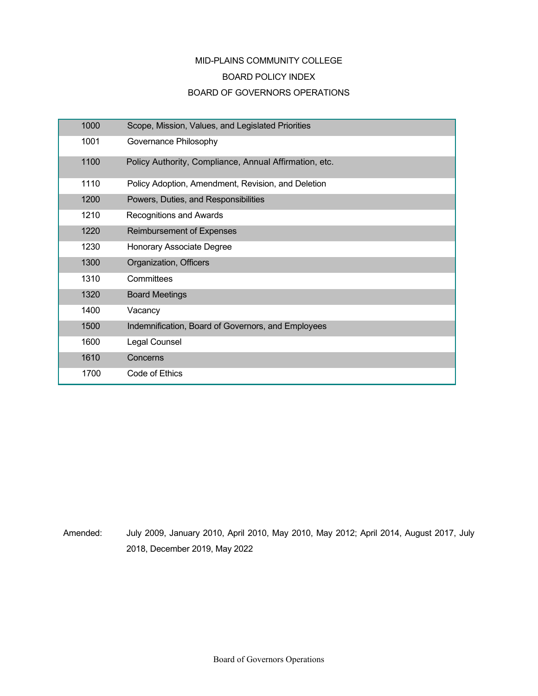# MID-PLAINS COMMUNITY COLLEGE BOARD POLICY INDEX BOARD OF GOVERNORS OPERATIONS

| 1000 | Scope, Mission, Values, and Legislated Priorities      |
|------|--------------------------------------------------------|
| 1001 | Governance Philosophy                                  |
| 1100 | Policy Authority, Compliance, Annual Affirmation, etc. |
| 1110 | Policy Adoption, Amendment, Revision, and Deletion     |
| 1200 | Powers, Duties, and Responsibilities                   |
| 1210 | Recognitions and Awards                                |
| 1220 | <b>Reimbursement of Expenses</b>                       |
| 1230 | Honorary Associate Degree                              |
| 1300 | Organization, Officers                                 |
| 1310 | Committees                                             |
| 1320 | <b>Board Meetings</b>                                  |
| 1400 | Vacancy                                                |
| 1500 | Indemnification, Board of Governors, and Employees     |
| 1600 | Legal Counsel                                          |
| 1610 | Concerns                                               |
| 1700 | Code of Ethics                                         |

Amended: July 2009, January 2010, April 2010, May 2010, May 2012; April 2014, August 2017, July 2018, December 2019, May 2022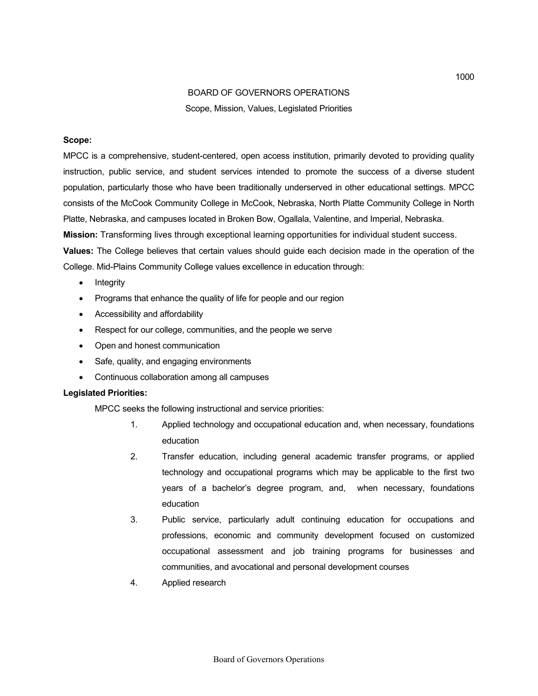## BOARD OF GOVERNORS OPERATIONS Scope, Mission, Values, Legislated Priorities

### **Scope:**

MPCC is a comprehensive, student-centered, open access institution, primarily devoted to providing quality instruction, public service, and student services intended to promote the success of a diverse student population, particularly those who have been traditionally underserved in other educational settings. MPCC consists of the McCook Community College in McCook, Nebraska, North Platte Community College in North Platte, Nebraska, and campuses located in Broken Bow, Ogallala, Valentine, and Imperial, Nebraska.

**Mission:** Transforming lives through exceptional learning opportunities for individual student success.

**Values:** The College believes that certain values should guide each decision made in the operation of the College. Mid-Plains Community College values excellence in education through:

- **Integrity**
- Programs that enhance the quality of life for people and our region
- Accessibility and affordability
- Respect for our college, communities, and the people we serve
- Open and honest communication
- Safe, quality, and engaging environments
- Continuous collaboration among all campuses

#### **Legislated Priorities:**

MPCC seeks the following instructional and service priorities:

- 1. Applied technology and occupational education and, when necessary, foundations education
- 2. Transfer education, including general academic transfer programs, or applied technology and occupational programs which may be applicable to the first two years of a bachelor's degree program, and, when necessary, foundations education
- 3. Public service, particularly adult continuing education for occupations and professions, economic and community development focused on customized occupational assessment and job training programs for businesses and communities, and avocational and personal development courses
- 4. Applied research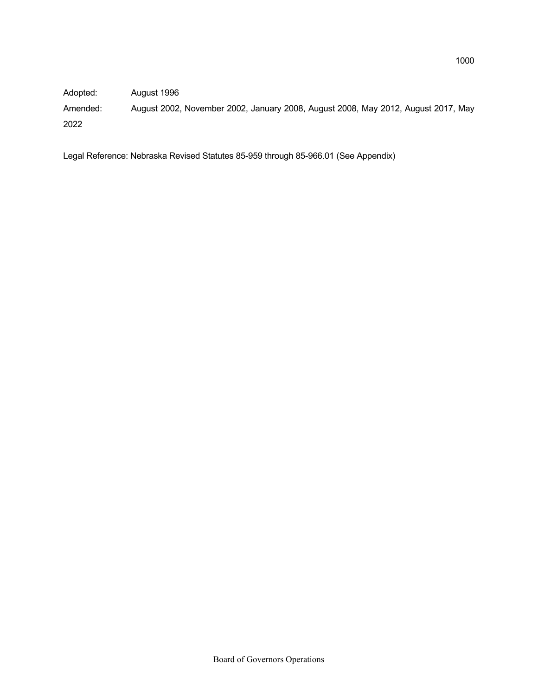Adopted: August 1996

Amended: August 2002, November 2002, January 2008, August 2008, May 2012, August 2017, May 2022

Legal Reference: Nebraska Revised Statutes 85-959 through 85-966.01 (See Appendix)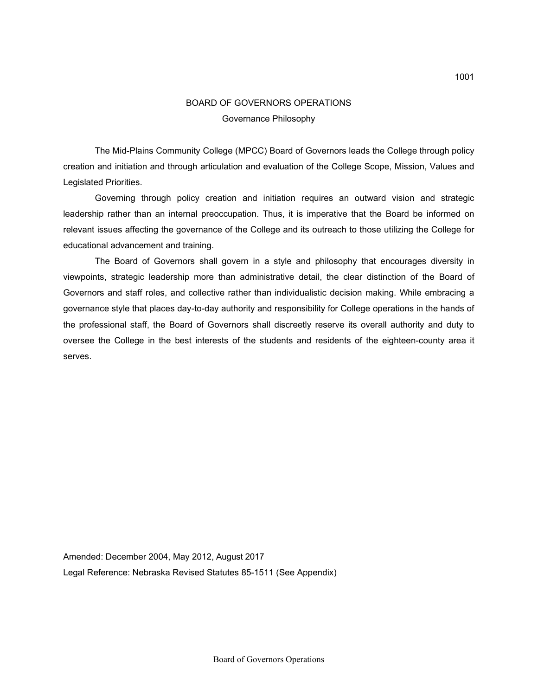## BOARD OF GOVERNORS OPERATIONS Governance Philosophy

The Mid-Plains Community College (MPCC) Board of Governors leads the College through policy creation and initiation and through articulation and evaluation of the College Scope, Mission, Values and Legislated Priorities.

Governing through policy creation and initiation requires an outward vision and strategic leadership rather than an internal preoccupation. Thus, it is imperative that the Board be informed on relevant issues affecting the governance of the College and its outreach to those utilizing the College for educational advancement and training.

The Board of Governors shall govern in a style and philosophy that encourages diversity in viewpoints, strategic leadership more than administrative detail, the clear distinction of the Board of Governors and staff roles, and collective rather than individualistic decision making. While embracing a governance style that places day-to-day authority and responsibility for College operations in the hands of the professional staff, the Board of Governors shall discreetly reserve its overall authority and duty to oversee the College in the best interests of the students and residents of the eighteen-county area it serves.

Amended: December 2004, May 2012, August 2017 Legal Reference: Nebraska Revised Statutes 85-1511 (See Appendix)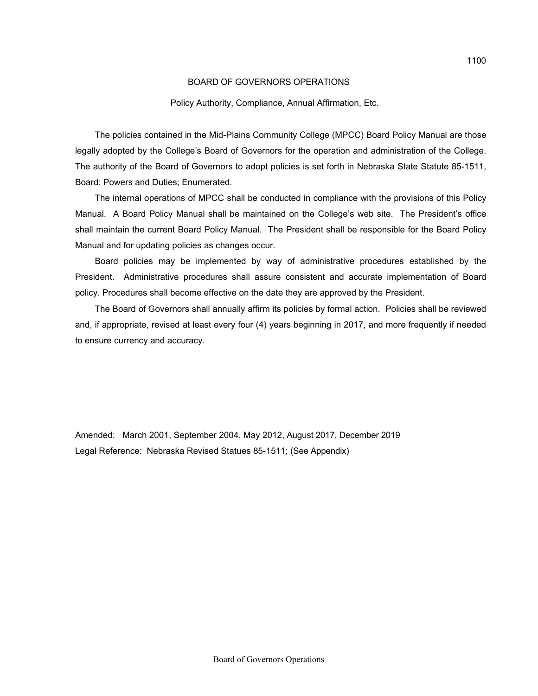#### Policy Authority, Compliance, Annual Affirmation, Etc.

The policies contained in the Mid-Plains Community College (MPCC) Board Policy Manual are those legally adopted by the College's Board of Governors for the operation and administration of the College. The authority of the Board of Governors to adopt policies is set forth in Nebraska State Statute 85-1511, Board: Powers and Duties; Enumerated.

The internal operations of MPCC shall be conducted in compliance with the provisions of this Policy Manual. A Board Policy Manual shall be maintained on the College's web site. The President's office shall maintain the current Board Policy Manual. The President shall be responsible for the Board Policy Manual and for updating policies as changes occur.

Board policies may be implemented by way of administrative procedures established by the President. Administrative procedures shall assure consistent and accurate implementation of Board policy. Procedures shall become effective on the date they are approved by the President.

The Board of Governors shall annually affirm its policies by formal action. Policies shall be reviewed and, if appropriate, revised at least every four (4) years beginning in 2017, and more frequently if needed to ensure currency and accuracy.

Amended: March 2001, September 2004, May 2012, August 2017, December 2019 Legal Reference: Nebraska Revised Statues 85-1511; (See Appendix)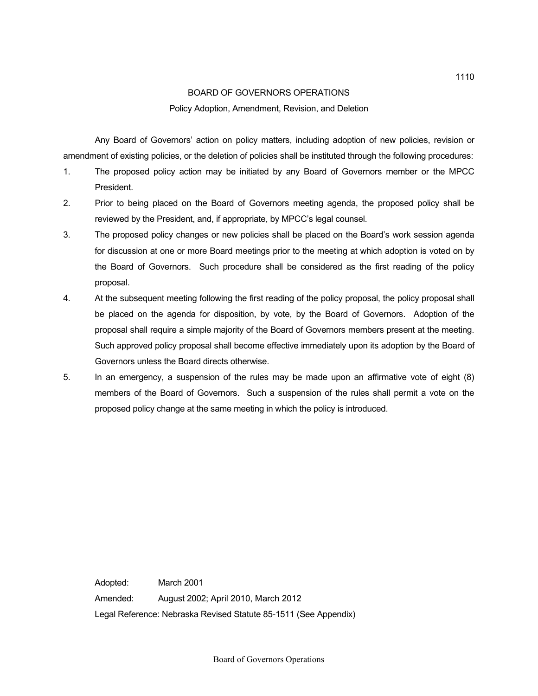#### Policy Adoption, Amendment, Revision, and Deletion

Any Board of Governors' action on policy matters, including adoption of new policies, revision or amendment of existing policies, or the deletion of policies shall be instituted through the following procedures:

- 1. The proposed policy action may be initiated by any Board of Governors member or the MPCC President.
- 2. Prior to being placed on the Board of Governors meeting agenda, the proposed policy shall be reviewed by the President, and, if appropriate, by MPCC's legal counsel.
- 3. The proposed policy changes or new policies shall be placed on the Board's work session agenda for discussion at one or more Board meetings prior to the meeting at which adoption is voted on by the Board of Governors. Such procedure shall be considered as the first reading of the policy proposal.
- 4. At the subsequent meeting following the first reading of the policy proposal, the policy proposal shall be placed on the agenda for disposition, by vote, by the Board of Governors. Adoption of the proposal shall require a simple majority of the Board of Governors members present at the meeting. Such approved policy proposal shall become effective immediately upon its adoption by the Board of Governors unless the Board directs otherwise.
- 5. In an emergency, a suspension of the rules may be made upon an affirmative vote of eight (8) members of the Board of Governors. Such a suspension of the rules shall permit a vote on the proposed policy change at the same meeting in which the policy is introduced.

Adopted: March 2001 Amended: August 2002; April 2010, March 2012 Legal Reference: Nebraska Revised Statute 85-1511 (See Appendix)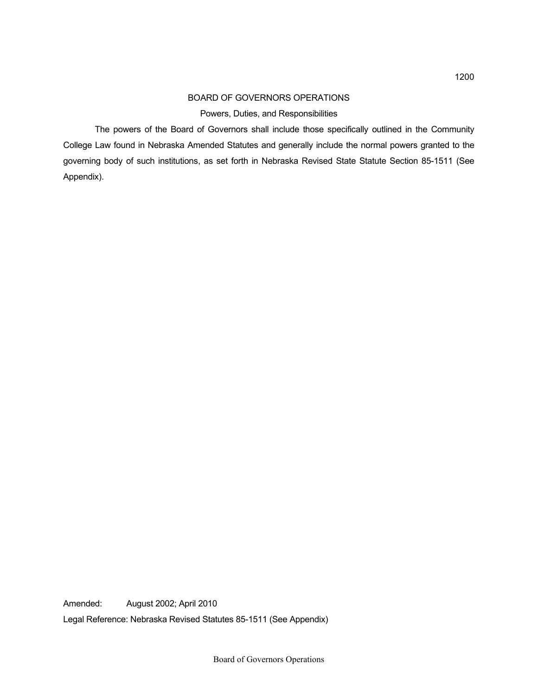#### Powers, Duties, and Responsibilities

The powers of the Board of Governors shall include those specifically outlined in the Community College Law found in Nebraska Amended Statutes and generally include the normal powers granted to the governing body of such institutions, as set forth in Nebraska Revised State Statute Section 85-1511 (See Appendix).

Amended: August 2002; April 2010 Legal Reference: Nebraska Revised Statutes 85-1511 (See Appendix)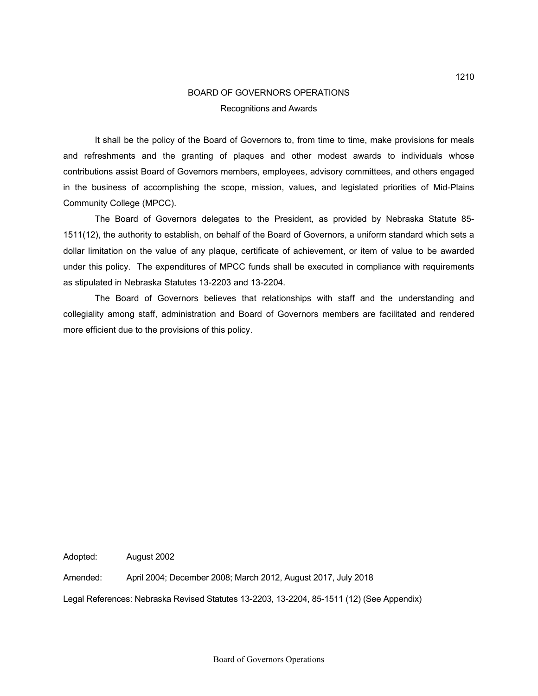## BOARD OF GOVERNORS OPERATIONS Recognitions and Awards

It shall be the policy of the Board of Governors to, from time to time, make provisions for meals and refreshments and the granting of plaques and other modest awards to individuals whose contributions assist Board of Governors members, employees, advisory committees, and others engaged in the business of accomplishing the scope, mission, values, and legislated priorities of Mid-Plains Community College (MPCC).

 The Board of Governors delegates to the President, as provided by Nebraska Statute 85- 1511(12), the authority to establish, on behalf of the Board of Governors, a uniform standard which sets a dollar limitation on the value of any plaque, certificate of achievement, or item of value to be awarded under this policy. The expenditures of MPCC funds shall be executed in compliance with requirements as stipulated in Nebraska Statutes 13-2203 and 13-2204.

The Board of Governors believes that relationships with staff and the understanding and collegiality among staff, administration and Board of Governors members are facilitated and rendered more efficient due to the provisions of this policy.

Adopted: August 2002

Amended: April 2004; December 2008; March 2012, August 2017, July 2018

Legal References: Nebraska Revised Statutes 13-2203, 13-2204, 85-1511 (12) (See Appendix)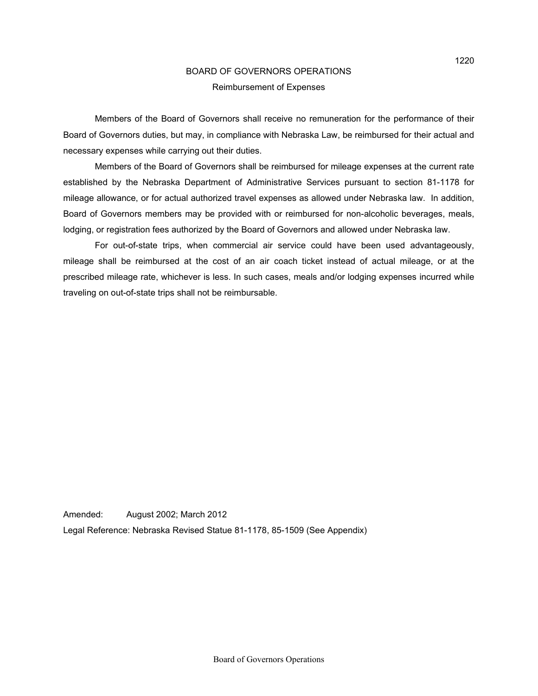### BOARD OF GOVERNORS OPERATIONS Reimbursement of Expenses

Members of the Board of Governors shall receive no remuneration for the performance of their Board of Governors duties, but may, in compliance with Nebraska Law, be reimbursed for their actual and necessary expenses while carrying out their duties.

Members of the Board of Governors shall be reimbursed for mileage expenses at the current rate established by the Nebraska Department of Administrative Services pursuant to section 81-1178 for mileage allowance, or for actual authorized travel expenses as allowed under Nebraska law. In addition, Board of Governors members may be provided with or reimbursed for non-alcoholic beverages, meals, lodging, or registration fees authorized by the Board of Governors and allowed under Nebraska law.

For out-of-state trips, when commercial air service could have been used advantageously, mileage shall be reimbursed at the cost of an air coach ticket instead of actual mileage, or at the prescribed mileage rate, whichever is less. In such cases, meals and/or lodging expenses incurred while traveling on out-of-state trips shall not be reimbursable.

Amended: August 2002; March 2012

Legal Reference: Nebraska Revised Statue 81-1178, 85-1509 (See Appendix)

1220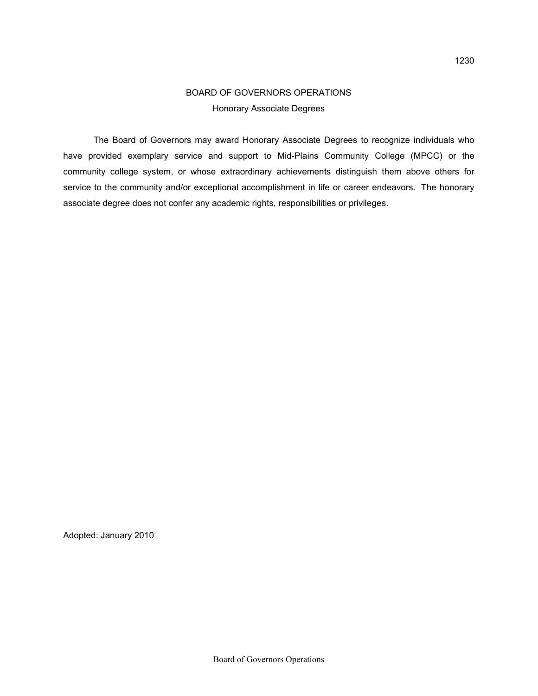# BOARD OF GOVERNORS OPERATIONS Honorary Associate Degrees

 The Board of Governors may award Honorary Associate Degrees to recognize individuals who have provided exemplary service and support to Mid-Plains Community College (MPCC) or the community college system, or whose extraordinary achievements distinguish them above others for service to the community and/or exceptional accomplishment in life or career endeavors. The honorary associate degree does not confer any academic rights, responsibilities or privileges.

Adopted: January 2010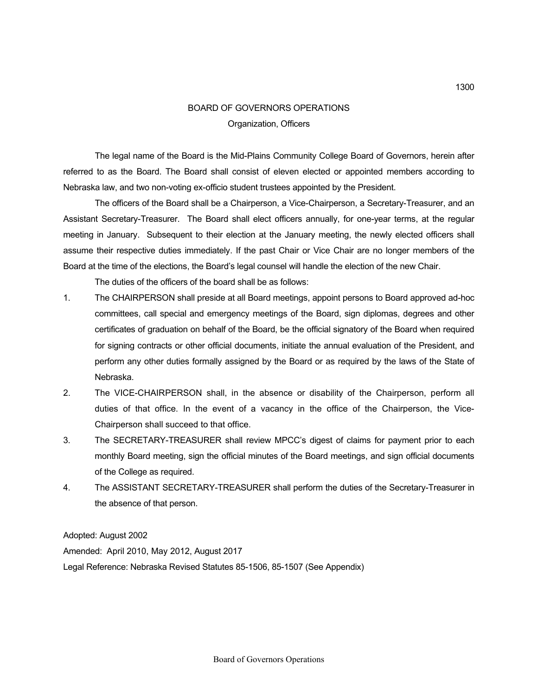## BOARD OF GOVERNORS OPERATIONS Organization, Officers

The legal name of the Board is the Mid-Plains Community College Board of Governors, herein after referred to as the Board. The Board shall consist of eleven elected or appointed members according to Nebraska law, and two non-voting ex-officio student trustees appointed by the President.

The officers of the Board shall be a Chairperson, a Vice-Chairperson, a Secretary-Treasurer, and an Assistant Secretary-Treasurer. The Board shall elect officers annually, for one-year terms, at the regular meeting in January. Subsequent to their election at the January meeting, the newly elected officers shall assume their respective duties immediately. If the past Chair or Vice Chair are no longer members of the Board at the time of the elections, the Board's legal counsel will handle the election of the new Chair.

The duties of the officers of the board shall be as follows:

- 1. The CHAIRPERSON shall preside at all Board meetings, appoint persons to Board approved ad-hoc committees, call special and emergency meetings of the Board, sign diplomas, degrees and other certificates of graduation on behalf of the Board, be the official signatory of the Board when required for signing contracts or other official documents, initiate the annual evaluation of the President, and perform any other duties formally assigned by the Board or as required by the laws of the State of Nebraska.
- 2. The VICE-CHAIRPERSON shall, in the absence or disability of the Chairperson, perform all duties of that office. In the event of a vacancy in the office of the Chairperson, the Vice-Chairperson shall succeed to that office.
- 3. The SECRETARY-TREASURER shall review MPCC's digest of claims for payment prior to each monthly Board meeting, sign the official minutes of the Board meetings, and sign official documents of the College as required.
- 4. The ASSISTANT SECRETARY-TREASURER shall perform the duties of the Secretary-Treasurer in the absence of that person.

Adopted: August 2002

Amended: April 2010, May 2012, August 2017 Legal Reference: Nebraska Revised Statutes 85-1506, 85-1507 (See Appendix)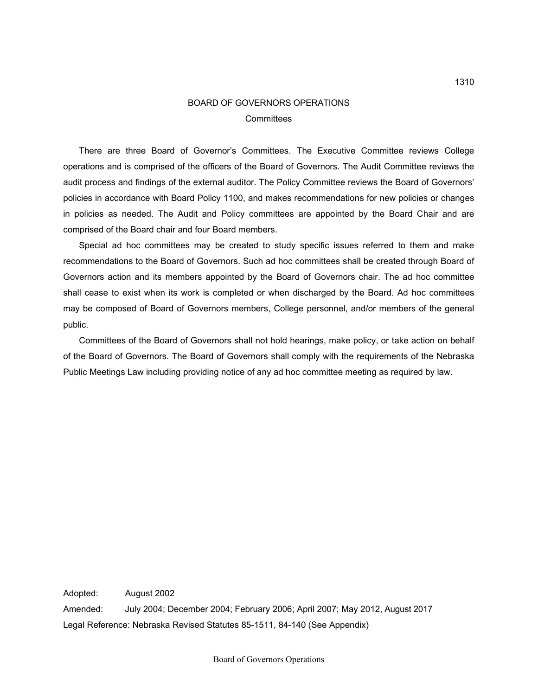### BOARD OF GOVERNORS OPERATIONS **Committees**

There are three Board of Governor's Committees. The Executive Committee reviews College operations and is comprised of the officers of the Board of Governors. The Audit Committee reviews the audit process and findings of the external auditor. The Policy Committee reviews the Board of Governors' policies in accordance with Board Policy 1100, and makes recommendations for new policies or changes in policies as needed. The Audit and Policy committees are appointed by the Board Chair and are comprised of the Board chair and four Board members.

Special ad hoc committees may be created to study specific issues referred to them and make recommendations to the Board of Governors. Such ad hoc committees shall be created through Board of Governors action and its members appointed by the Board of Governors chair. The ad hoc committee shall cease to exist when its work is completed or when discharged by the Board. Ad hoc committees may be composed of Board of Governors members, College personnel, and/or members of the general public.

Committees of the Board of Governors shall not hold hearings, make policy, or take action on behalf of the Board of Governors. The Board of Governors shall comply with the requirements of the Nebraska Public Meetings Law including providing notice of any ad hoc committee meeting as required by law.

Adopted: August 2002 Amended: July 2004; December 2004; February 2006; April 2007; May 2012, August 2017 Legal Reference: Nebraska Revised Statutes 85-1511, 84-140 (See Appendix)

1310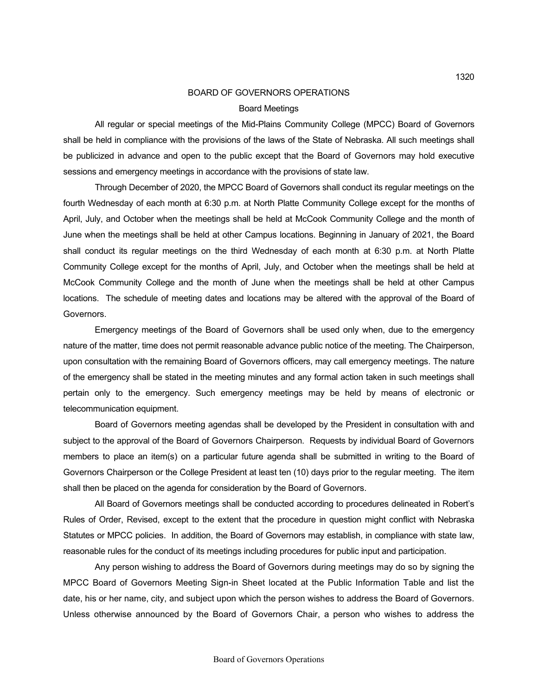### BOARD OF GOVERNORS OPERATIONS Board Meetings

All regular or special meetings of the Mid-Plains Community College (MPCC) Board of Governors shall be held in compliance with the provisions of the laws of the State of Nebraska. All such meetings shall be publicized in advance and open to the public except that the Board of Governors may hold executive sessions and emergency meetings in accordance with the provisions of state law.

Through December of 2020, the MPCC Board of Governors shall conduct its regular meetings on the fourth Wednesday of each month at 6:30 p.m. at North Platte Community College except for the months of April, July, and October when the meetings shall be held at McCook Community College and the month of June when the meetings shall be held at other Campus locations. Beginning in January of 2021, the Board shall conduct its regular meetings on the third Wednesday of each month at 6:30 p.m. at North Platte Community College except for the months of April, July, and October when the meetings shall be held at McCook Community College and the month of June when the meetings shall be held at other Campus locations. The schedule of meeting dates and locations may be altered with the approval of the Board of Governors.

Emergency meetings of the Board of Governors shall be used only when, due to the emergency nature of the matter, time does not permit reasonable advance public notice of the meeting. The Chairperson, upon consultation with the remaining Board of Governors officers, may call emergency meetings. The nature of the emergency shall be stated in the meeting minutes and any formal action taken in such meetings shall pertain only to the emergency. Such emergency meetings may be held by means of electronic or telecommunication equipment.

Board of Governors meeting agendas shall be developed by the President in consultation with and subject to the approval of the Board of Governors Chairperson. Requests by individual Board of Governors members to place an item(s) on a particular future agenda shall be submitted in writing to the Board of Governors Chairperson or the College President at least ten (10) days prior to the regular meeting. The item shall then be placed on the agenda for consideration by the Board of Governors.

All Board of Governors meetings shall be conducted according to procedures delineated in Robert's Rules of Order, Revised, except to the extent that the procedure in question might conflict with Nebraska Statutes or MPCC policies. In addition, the Board of Governors may establish, in compliance with state law, reasonable rules for the conduct of its meetings including procedures for public input and participation.

Any person wishing to address the Board of Governors during meetings may do so by signing the MPCC Board of Governors Meeting Sign-in Sheet located at the Public Information Table and list the date, his or her name, city, and subject upon which the person wishes to address the Board of Governors. Unless otherwise announced by the Board of Governors Chair, a person who wishes to address the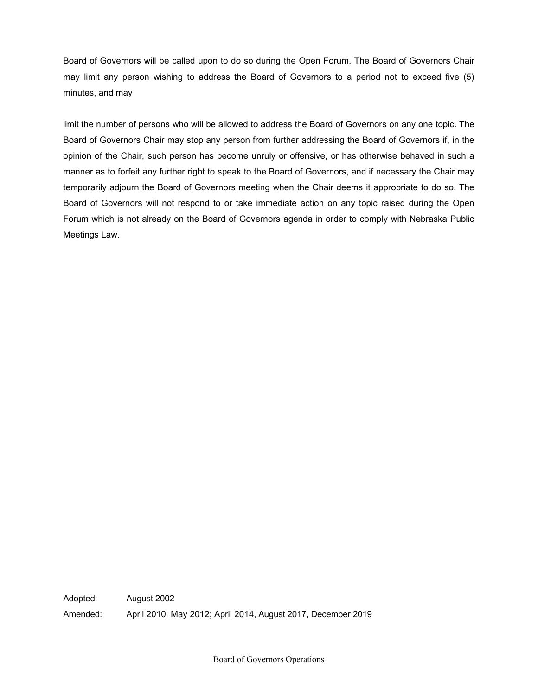Board of Governors will be called upon to do so during the Open Forum. The Board of Governors Chair may limit any person wishing to address the Board of Governors to a period not to exceed five (5) minutes, and may

limit the number of persons who will be allowed to address the Board of Governors on any one topic. The Board of Governors Chair may stop any person from further addressing the Board of Governors if, in the opinion of the Chair, such person has become unruly or offensive, or has otherwise behaved in such a manner as to forfeit any further right to speak to the Board of Governors, and if necessary the Chair may temporarily adjourn the Board of Governors meeting when the Chair deems it appropriate to do so. The Board of Governors will not respond to or take immediate action on any topic raised during the Open Forum which is not already on the Board of Governors agenda in order to comply with Nebraska Public Meetings Law.

Adopted: August 2002 Amended: April 2010; May 2012; April 2014, August 2017, December 2019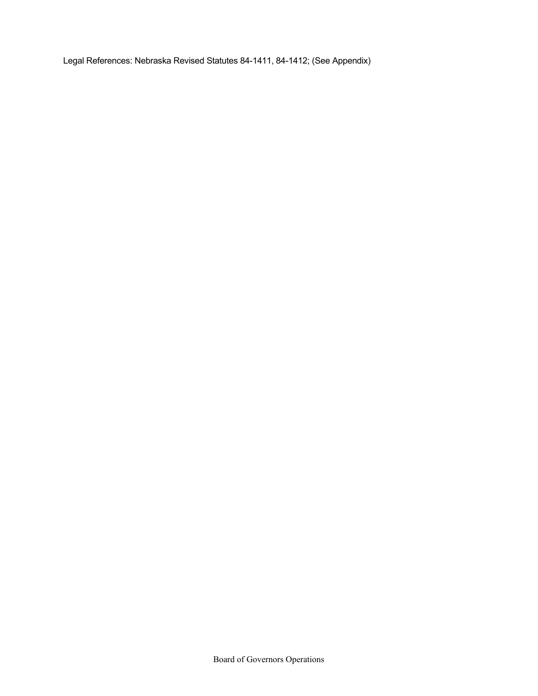Legal References: Nebraska Revised Statutes 84-1411, 84-1412; (See Appendix)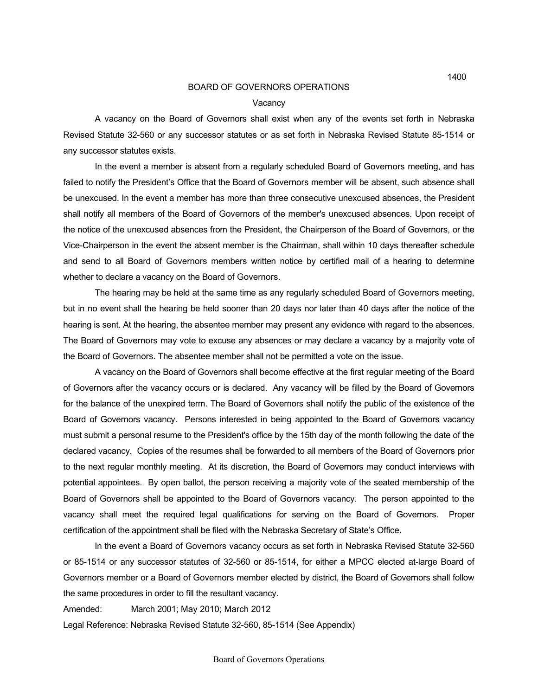#### **Vacancy**

A vacancy on the Board of Governors shall exist when any of the events set forth in Nebraska Revised Statute 32-560 or any successor statutes or as set forth in Nebraska Revised Statute 85-1514 or any successor statutes exists.

In the event a member is absent from a regularly scheduled Board of Governors meeting, and has failed to notify the President's Office that the Board of Governors member will be absent, such absence shall be unexcused. In the event a member has more than three consecutive unexcused absences, the President shall notify all members of the Board of Governors of the member's unexcused absences. Upon receipt of the notice of the unexcused absences from the President, the Chairperson of the Board of Governors, or the Vice-Chairperson in the event the absent member is the Chairman, shall within 10 days thereafter schedule and send to all Board of Governors members written notice by certified mail of a hearing to determine whether to declare a vacancy on the Board of Governors.

The hearing may be held at the same time as any regularly scheduled Board of Governors meeting, but in no event shall the hearing be held sooner than 20 days nor later than 40 days after the notice of the hearing is sent. At the hearing, the absentee member may present any evidence with regard to the absences. The Board of Governors may vote to excuse any absences or may declare a vacancy by a majority vote of the Board of Governors. The absentee member shall not be permitted a vote on the issue.

A vacancy on the Board of Governors shall become effective at the first regular meeting of the Board of Governors after the vacancy occurs or is declared. Any vacancy will be filled by the Board of Governors for the balance of the unexpired term. The Board of Governors shall notify the public of the existence of the Board of Governors vacancy. Persons interested in being appointed to the Board of Governors vacancy must submit a personal resume to the President's office by the 15th day of the month following the date of the declared vacancy. Copies of the resumes shall be forwarded to all members of the Board of Governors prior to the next regular monthly meeting. At its discretion, the Board of Governors may conduct interviews with potential appointees. By open ballot, the person receiving a majority vote of the seated membership of the Board of Governors shall be appointed to the Board of Governors vacancy. The person appointed to the vacancy shall meet the required legal qualifications for serving on the Board of Governors. Proper certification of the appointment shall be filed with the Nebraska Secretary of State's Office.

In the event a Board of Governors vacancy occurs as set forth in Nebraska Revised Statute 32-560 or 85-1514 or any successor statutes of 32-560 or 85-1514, for either a MPCC elected at-large Board of Governors member or a Board of Governors member elected by district, the Board of Governors shall follow the same procedures in order to fill the resultant vacancy.

Amended: March 2001; May 2010; March 2012

Legal Reference: Nebraska Revised Statute 32-560, 85-1514 (See Appendix)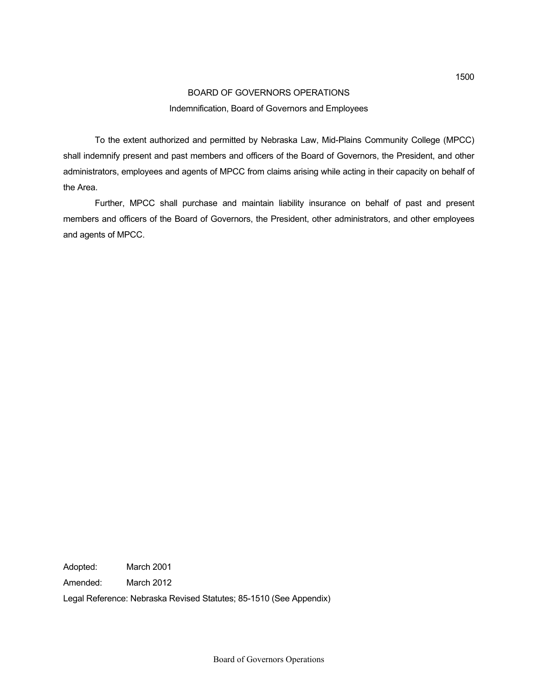# BOARD OF GOVERNORS OPERATIONS Indemnification, Board of Governors and Employees

To the extent authorized and permitted by Nebraska Law, Mid-Plains Community College (MPCC) shall indemnify present and past members and officers of the Board of Governors, the President, and other administrators, employees and agents of MPCC from claims arising while acting in their capacity on behalf of the Area.

Further, MPCC shall purchase and maintain liability insurance on behalf of past and present members and officers of the Board of Governors, the President, other administrators, and other employees and agents of MPCC.

Adopted: March 2001

Amended: March 2012

Legal Reference: Nebraska Revised Statutes; 85-1510 (See Appendix)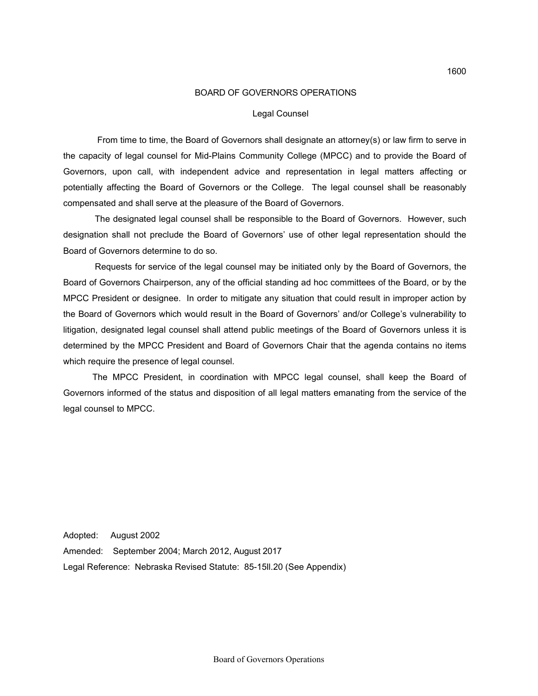#### Legal Counsel

From time to time, the Board of Governors shall designate an attorney(s) or law firm to serve in the capacity of legal counsel for Mid-Plains Community College (MPCC) and to provide the Board of Governors, upon call, with independent advice and representation in legal matters affecting or potentially affecting the Board of Governors or the College. The legal counsel shall be reasonably compensated and shall serve at the pleasure of the Board of Governors.

 The designated legal counsel shall be responsible to the Board of Governors. However, such designation shall not preclude the Board of Governors' use of other legal representation should the Board of Governors determine to do so.

 Requests for service of the legal counsel may be initiated only by the Board of Governors, the Board of Governors Chairperson, any of the official standing ad hoc committees of the Board, or by the MPCC President or designee. In order to mitigate any situation that could result in improper action by the Board of Governors which would result in the Board of Governors' and/or College's vulnerability to litigation, designated legal counsel shall attend public meetings of the Board of Governors unless it is determined by the MPCC President and Board of Governors Chair that the agenda contains no items which require the presence of legal counsel.

 The MPCC President, in coordination with MPCC legal counsel, shall keep the Board of Governors informed of the status and disposition of all legal matters emanating from the service of the legal counsel to MPCC.

Adopted: August 2002 Amended: September 2004; March 2012, August 2017 Legal Reference: Nebraska Revised Statute: 85-15ll.20 (See Appendix)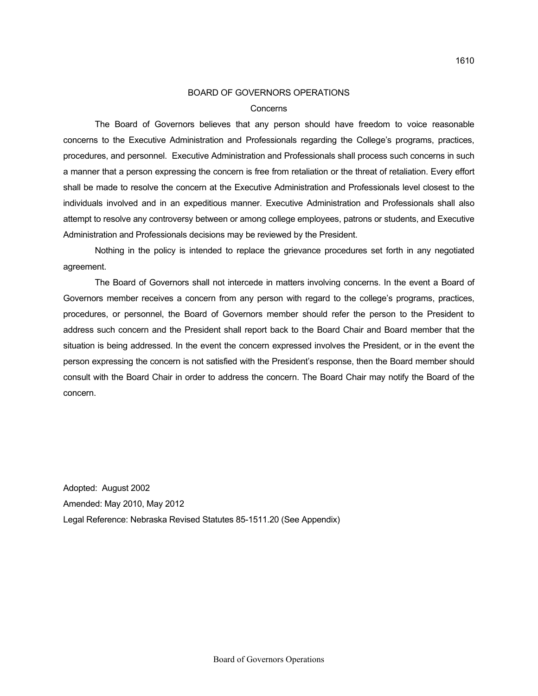#### Concerns

The Board of Governors believes that any person should have freedom to voice reasonable concerns to the Executive Administration and Professionals regarding the College's programs, practices, procedures, and personnel. Executive Administration and Professionals shall process such concerns in such a manner that a person expressing the concern is free from retaliation or the threat of retaliation. Every effort shall be made to resolve the concern at the Executive Administration and Professionals level closest to the individuals involved and in an expeditious manner. Executive Administration and Professionals shall also attempt to resolve any controversy between or among college employees, patrons or students, and Executive Administration and Professionals decisions may be reviewed by the President.

Nothing in the policy is intended to replace the grievance procedures set forth in any negotiated agreement.

The Board of Governors shall not intercede in matters involving concerns. In the event a Board of Governors member receives a concern from any person with regard to the college's programs, practices, procedures, or personnel, the Board of Governors member should refer the person to the President to address such concern and the President shall report back to the Board Chair and Board member that the situation is being addressed. In the event the concern expressed involves the President, or in the event the person expressing the concern is not satisfied with the President's response, then the Board member should consult with the Board Chair in order to address the concern. The Board Chair may notify the Board of the concern.

Adopted: August 2002 Amended: May 2010, May 2012 Legal Reference: Nebraska Revised Statutes 85-1511.20 (See Appendix)